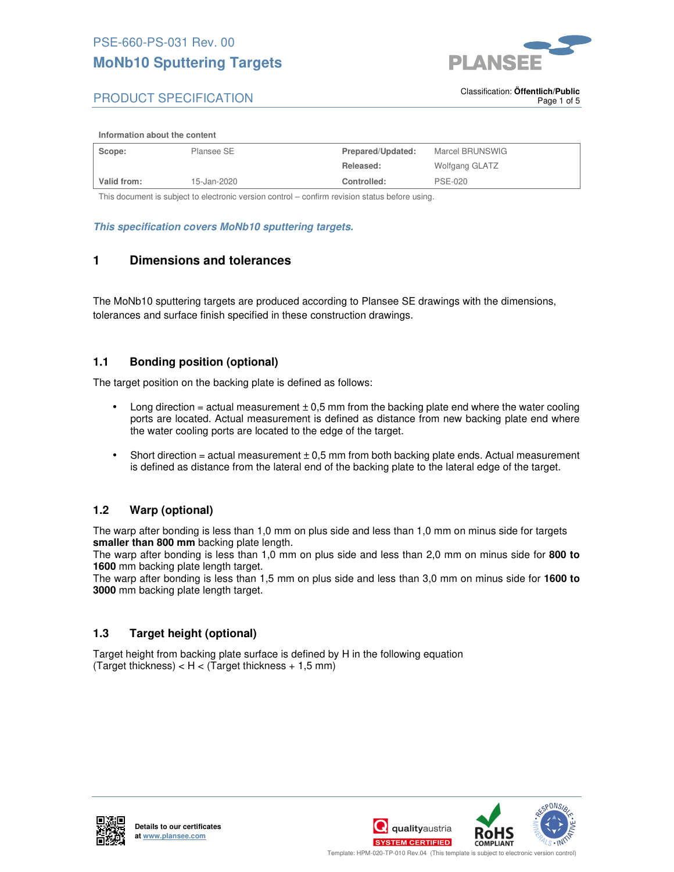

#### **Information about the content**

| Scope:      | Plansee SE  | <b>Prepared/Updated:</b> | Marcel BRUNSWIG |
|-------------|-------------|--------------------------|-----------------|
|             |             | Released:                | Wolfgang GLATZ  |
| Valid from: | 15-Jan-2020 | Controlled:              | PSE-020         |

This document is subject to electronic version control – confirm revision status before using.

#### *This specification covers MoNb10 sputtering targets.*

### **1 Dimensions and tolerances**

The MoNb10 sputtering targets are produced according to Plansee SE drawings with the dimensions, tolerances and surface finish specified in these construction drawings.

### **1.1 Bonding position (optional)**

The target position on the backing plate is defined as follows:

- Long direction = actual measurement  $\pm$  0.5 mm from the backing plate end where the water cooling ports are located. Actual measurement is defined as distance from new backing plate end where the water cooling ports are located to the edge of the target.
- Short direction = actual measurement  $\pm$  0,5 mm from both backing plate ends. Actual measurement is defined as distance from the lateral end of the backing plate to the lateral edge of the target.

### **1.2 Warp (optional)**

The warp after bonding is less than 1,0 mm on plus side and less than 1,0 mm on minus side for targets **smaller than 800 mm** backing plate length.

The warp after bonding is less than 1,0 mm on plus side and less than 2,0 mm on minus side for **800 to 1600** mm backing plate length target.

The warp after bonding is less than 1,5 mm on plus side and less than 3,0 mm on minus side for **1600 to 3000** mm backing plate length target.

### **1.3 Target height (optional)**

Target height from backing plate surface is defined by H in the following equation (Target thickness)  $< H <$  (Target thickness + 1,5 mm)







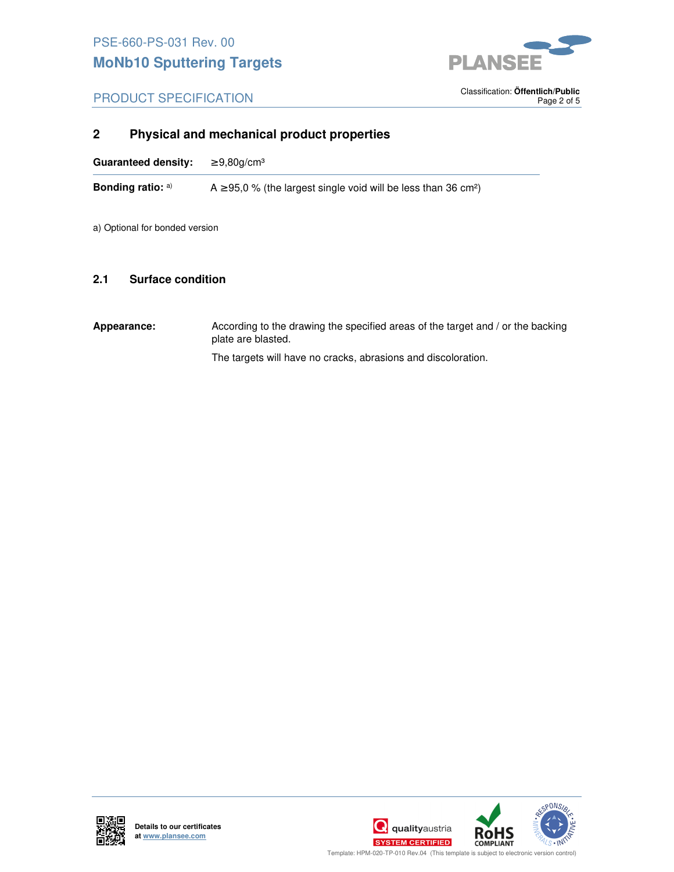

. Classification: **Öffentlich/Public** Page 2 of 5

## **2 Physical and mechanical product properties**

**Guaranteed density:** ≥ 9,80g/cm³

**Bonding ratio:**  $a$ )  $A \ge 95.0$  % (the largest single void will be less than 36 cm<sup>2</sup>)

a) Optional for bonded version

### **2.1 Surface condition**

Appearance: According to the drawing the specified areas of the target and / or the backing plate are blasted. The targets will have no cracks, abrasions and discoloration.





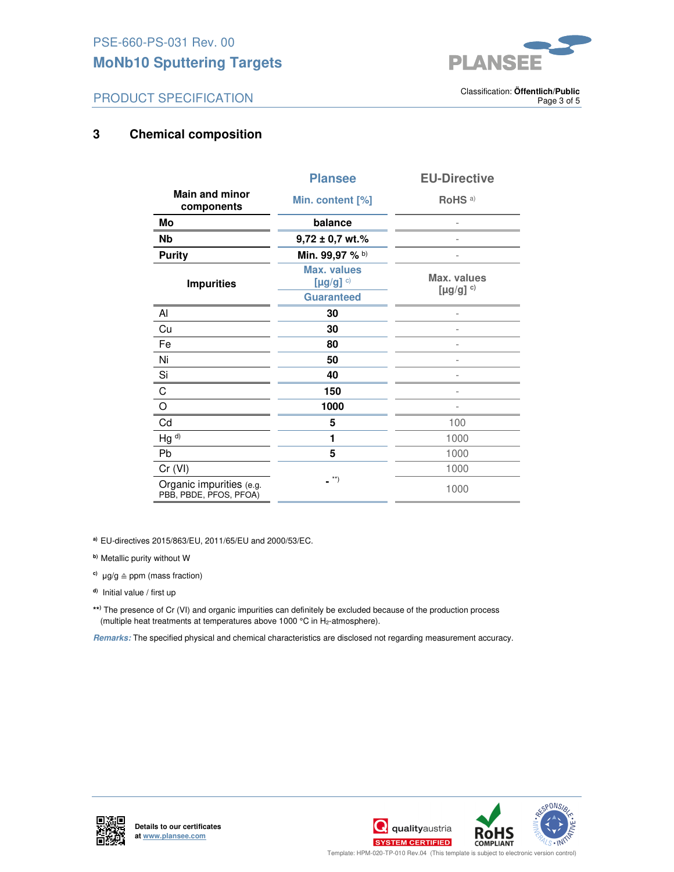

. Classification: **Öffentlich/Public** Page 3 of 5

# **3 Chemical composition**

|                                                    | <b>Plansee</b>                                | <b>EU-Directive</b>                   |  |
|----------------------------------------------------|-----------------------------------------------|---------------------------------------|--|
| <b>Main and minor</b><br>components                | Min. content [%]                              | RoHS <sup>a)</sup>                    |  |
| Mo                                                 | balance                                       |                                       |  |
| Nb                                                 | $9,72 \pm 0,7$ wt.%                           |                                       |  |
| <b>Purity</b>                                      | Min. 99,97 % b)                               |                                       |  |
| <b>Impurities</b>                                  | <b>Max. values</b><br>[ $\mu$ g/g] $^{\circ}$ | Max. values<br>$[µg/g]$ <sup>c)</sup> |  |
|                                                    | <b>Guaranteed</b>                             |                                       |  |
| Al                                                 | 30                                            |                                       |  |
| Cu                                                 | 30                                            |                                       |  |
| Fe                                                 | 80                                            |                                       |  |
| Ni                                                 | 50                                            |                                       |  |
| Si                                                 | 40                                            |                                       |  |
| C                                                  | 150                                           |                                       |  |
| O                                                  | 1000                                          |                                       |  |
| Cd                                                 | 5                                             | 100                                   |  |
| Hg d)                                              | 1                                             | 1000                                  |  |
| Pb                                                 | 5                                             | 1000                                  |  |
| Cr (VI)                                            |                                               | 1000                                  |  |
| Organic impurities (e.g.<br>PBB, PBDE, PFOS, PFOA) | $\rightarrow$ **)                             | 1000                                  |  |

**a)** EU-directives 2015/863/EU, 2011/65/EU and 2000/53/EC.

- **b)** Metallic purity without W
- **c)** μg/g ≙ ppm (mass fraction)
- **d)** Initial value / first up
- **\*\* )** The presence of Cr (VI) and organic impurities can definitely be excluded because of the production process (multiple heat treatments at temperatures above 1000 °C in H<sub>2</sub>-atmosphere).

*Remarks:* The specified physical and chemical characteristics are disclosed not regarding measurement accuracy.







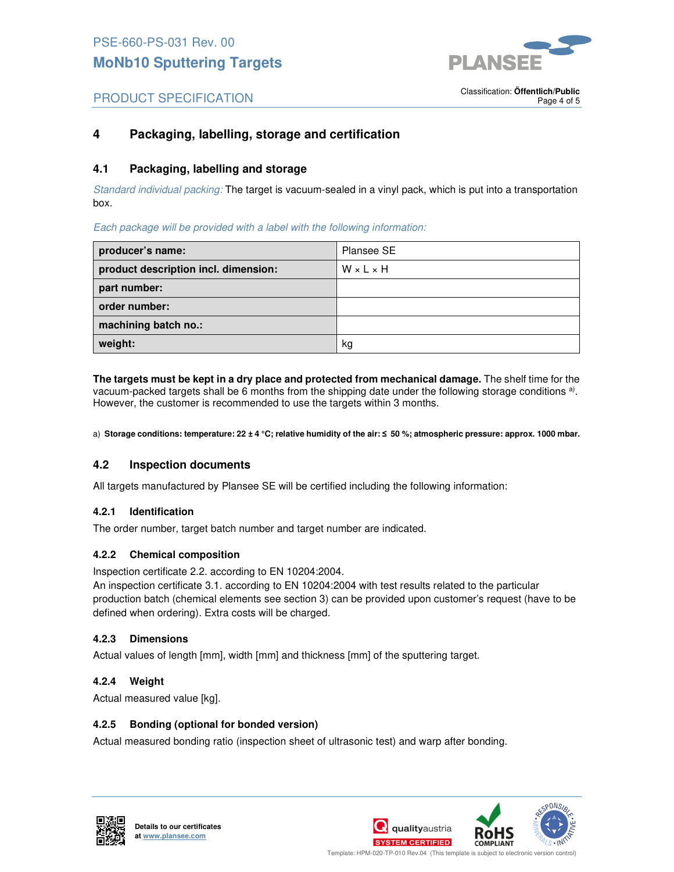

#### . Classification: **Öffentlich/Public** Page 4 of 5

## **4 Packaging, labelling, storage and certification**

### **4.1 Packaging, labelling and storage**

Standard individual packing: The target is vacuum-sealed in a vinyl pack, which is put into a transportation box.

### Each package will be provided with a label with the following information:

| producer's name:                     | Plansee SE            |
|--------------------------------------|-----------------------|
| product description incl. dimension: | $W \times L \times H$ |
| part number:                         |                       |
| order number:                        |                       |
| machining batch no.:                 |                       |
| weight:                              | kg                    |

**The targets must be kept in a dry place and protected from mechanical damage.** The shelf time for the vacuum-packed targets shall be 6 months from the shipping date under the following storage conditions a). However, the customer is recommended to use the targets within 3 months.

a) **Storage conditions: temperature: 22 ± 4 °C; relative humidity of the air: ≤ 50 %; atmospheric pressure: approx. 1000 mbar.**

### **4.2 Inspection documents**

All targets manufactured by Plansee SE will be certified including the following information:

### **4.2.1 Identification**

The order number, target batch number and target number are indicated.

### **4.2.2 Chemical composition**

Inspection certificate 2.2. according to EN 10204:2004.

An inspection certificate 3.1. according to EN 10204:2004 with test results related to the particular production batch (chemical elements see section 3) can be provided upon customer's request (have to be defined when ordering). Extra costs will be charged.

### **4.2.3 Dimensions**

Actual values of length [mm], width [mm] and thickness [mm] of the sputtering target.

### **4.2.4 Weight**

Actual measured value [kg].

### **4.2.5 Bonding (optional for bonded version)**

Actual measured bonding ratio (inspection sheet of ultrasonic test) and warp after bonding.